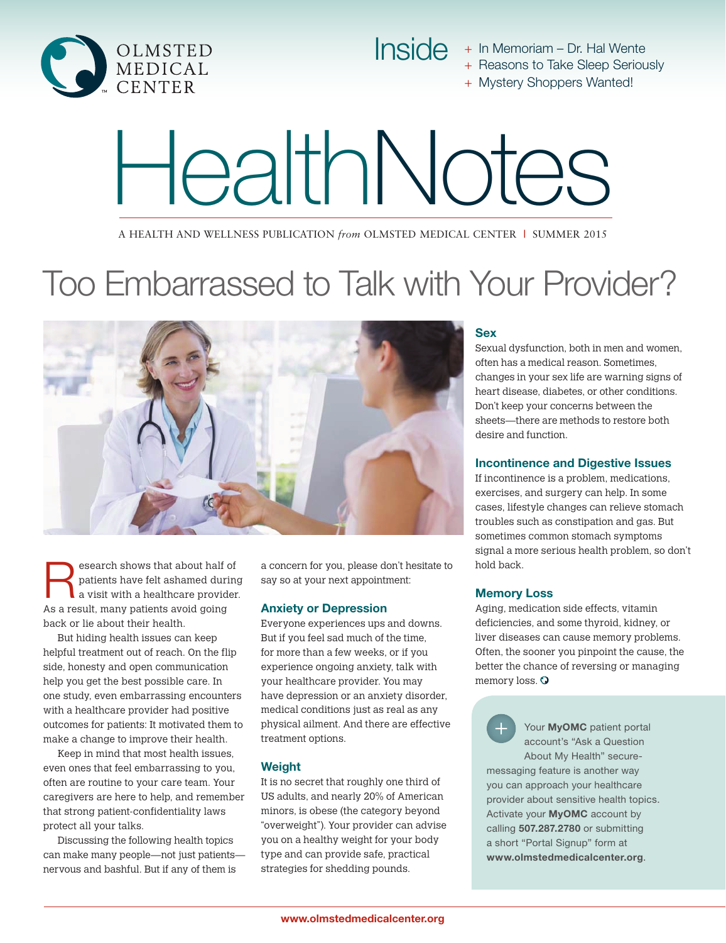

Inside + In Memoriam – Dr. Hal Wente

+ Reasons to Take Sleep Seriously

+ Mystery Shoppers Wanted!

# HealthNotes

A Health and Wellness Publication *from* Olmsted Medical Center **|** Summer 2015

# Too Embarrassed to Talk with Your Provider?



Search shows that about half of patients have felt ashamed during<br>a visit with a healthcare provider patients have felt ashamed during a visit with a healthcare provider. As a result, many patients avoid going back or lie about their health.

But hiding health issues can keep helpful treatment out of reach. On the flip side, honesty and open communication help you get the best possible care. In one study, even embarrassing encounters with a healthcare provider had positive outcomes for patients: It motivated them to make a change to improve their health.

Keep in mind that most health issues, even ones that feel embarrassing to you, often are routine to your care team. Your caregivers are here to help, and remember that strong patient-confidentiality laws protect all your talks.

Discussing the following health topics can make many people—not just patients nervous and bashful. But if any of them is

a concern for you, please don't hesitate to say so at your next appointment:

#### Anxiety or Depression

Everyone experiences ups and downs. But if you feel sad much of the time, for more than a few weeks, or if you experience ongoing anxiety, talk with your healthcare provider. You may have depression or an anxiety disorder, medical conditions just as real as any physical ailment. And there are effective treatment options.

#### **Weight**

It is no secret that roughly one third of US adults, and nearly 20% of American minors, is obese (the category beyond "overweight"). Your provider can advise you on a healthy weight for your body type and can provide safe, practical strategies for shedding pounds.

#### Sex

Sexual dysfunction, both in men and women, often has a medical reason. Sometimes, changes in your sex life are warning signs of heart disease, diabetes, or other conditions. Don't keep your concerns between the sheets—there are methods to restore both desire and function.

#### Incontinence and Digestive Issues

If incontinence is a problem, medications, exercises, and surgery can help. In some cases, lifestyle changes can relieve stomach troubles such as constipation and gas. But sometimes common stomach symptoms signal a more serious health problem, so don't hold back.

#### Memory Loss

Aging, medication side effects, vitamin deficiencies, and some thyroid, kidney, or liver diseases can cause memory problems. Often, the sooner you pinpoint the cause, the better the chance of reversing or managing memory loss. O

Your **MyOMC** patient portal account's "Ask a Question About My Health" securemessaging feature is another way you can approach your healthcare provider about sensitive health topics. Activate your MyOMC account by calling 507.287.2780 or submitting a short "Portal Signup" form at www.olmstedmedicalcenter.org.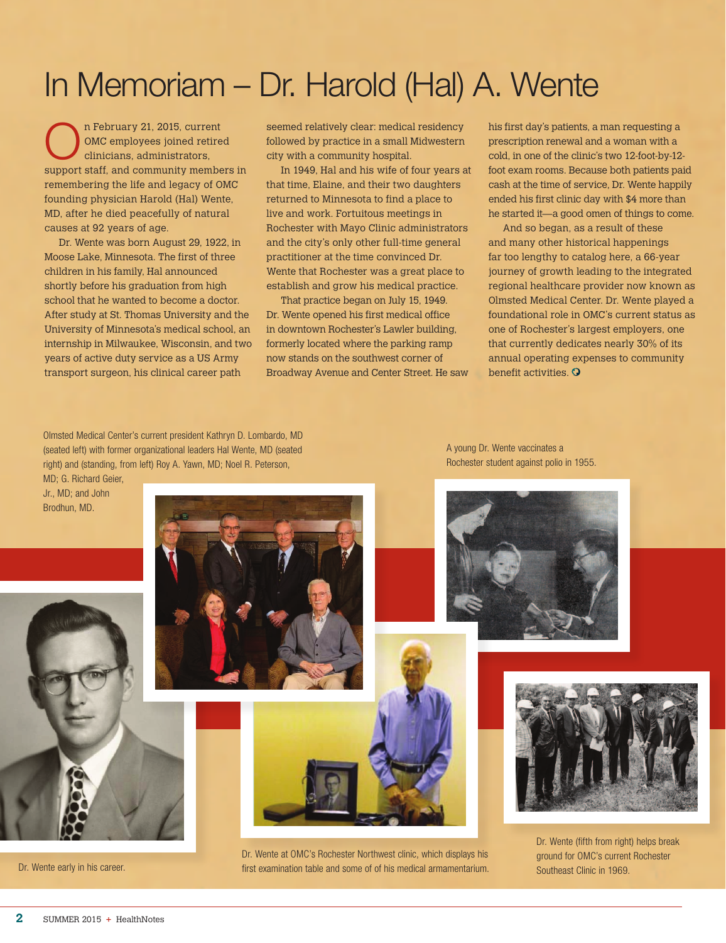# In Memoriam – Dr. Harold (Hal) A. Wente

n February 21, 2015, current<br>OMC employees joined retire<br>clinicians, administrators, OMC employees joined retired clinicians, administrators, support staff, and community members in remembering the life and legacy of OMC founding physician Harold (Hal) Wente, MD, after he died peacefully of natural causes at 92 years of age.

Dr. Wente was born August 29, 1922, in Moose Lake, Minnesota. The first of three children in his family, Hal announced shortly before his graduation from high school that he wanted to become a doctor. After study at St. Thomas University and the University of Minnesota's medical school, an internship in Milwaukee, Wisconsin, and two years of active duty service as a US Army transport surgeon, his clinical career path

seemed relatively clear: medical residency followed by practice in a small Midwestern city with a community hospital.

In 1949, Hal and his wife of four years at that time, Elaine, and their two daughters returned to Minnesota to find a place to live and work. Fortuitous meetings in Rochester with Mayo Clinic administrators and the city's only other full-time general practitioner at the time convinced Dr. Wente that Rochester was a great place to establish and grow his medical practice.

That practice began on July 15, 1949. Dr. Wente opened his first medical office in downtown Rochester's Lawler building, formerly located where the parking ramp now stands on the southwest corner of Broadway Avenue and Center Street. He saw

Dr. Wente at OMC's Rochester Northwest clinic, which displays his first examination table and some of of his medical armamentarium.

his first day's patients, a man requesting a prescription renewal and a woman with a cold, in one of the clinic's two 12-foot-by-12 foot exam rooms. Because both patients paid cash at the time of service, Dr. Wente happily ended his first clinic day with \$4 more than he started it—a good omen of things to come.

And so began, as a result of these and many other historical happenings far too lengthy to catalog here, a 66-year journey of growth leading to the integrated regional healthcare provider now known as Olmsted Medical Center. Dr. Wente played a foundational role in OMC's current status as one of Rochester's largest employers, one that currently dedicates nearly 30% of its annual operating expenses to community benefit activities. O

Olmsted Medical Center's current president Kathryn D. Lombardo, MD (seated left) with former organizational leaders Hal Wente, MD (seated right) and (standing, from left) Roy A. Yawn, MD; Noel R. Peterson,

MD; G. Richard Geier, Jr., MD; and John Brodhun, MD.



Dr. Wente early in his career.



A young Dr. Wente vaccinates a Rochester student against polio in 1955.





Dr. Wente (fifth from right) helps break ground for OMC's current Rochester Southeast Clinic in 1969.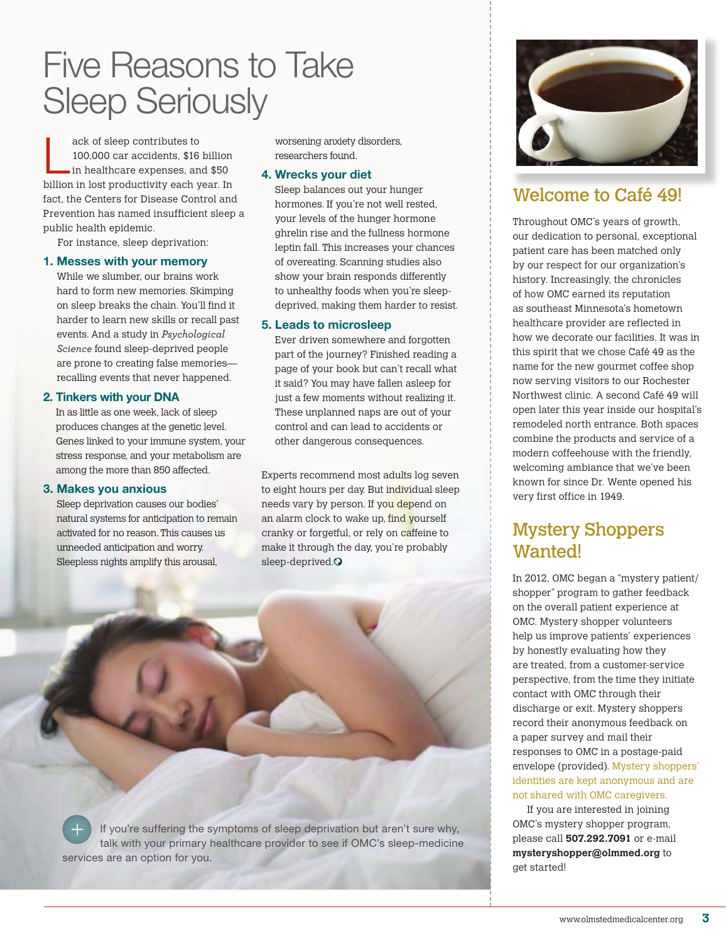Five Reasons to Take Sleep Seriously

ack of sleep contributes to<br>
100,000 car accidents, \$16 billion<br>
in healthcare expenses, and \$50 100,000 car accidents, \$16 billion billion in lost productivity each year. In fact, the Centers for Disease Control and Prevention has named insufficient sleep a public health epidemic.

For instance, sleep deprivation:

#### 1. Messes with your memory

While we slumber, our brains work hard to form new memories. Skimping on sleep breaks the chain. You'll find it harder to learn new skills or recall past events. And a study in *Psychological Science* found sleep-deprived people are prone to creating false memories recalling events that never happened.

#### 2. Tinkers with your DNA

In as little as one week, lack of sleep produces changes at the genetic level. Genes linked to your immune system, your stress response, and your metabolism are among the more than 850 affected.

#### 3. Makes you anxious

Sleep deprivation causes our bodies' natural systems for anticipation to remain activated for no reason. This causes us unneeded anticipation and worry. Sleepless nights amplify this arousal,

worsening anxiety disorders, researchers found.

#### 4. Wrecks your diet

Sleep balances out your hunger hormones. If you're not well rested, your levels of the hunger hormone ghrelin rise and the fullness hormone leptin fall. This increases your chances of overeating. Scanning studies also show your brain responds differently to unhealthy foods when you're sleepdeprived, making them harder to resist.

#### 5. Leads to microsleep

Ever driven somewhere and forgotten part of the journey? Finished reading a page of your book but can't recall what it said? You may have fallen asleep for just a few moments without realizing it. These unplanned naps are out of your control and can lead to accidents or other dangerous consequences.

Experts recommend most adults log seven to eight hours per day. But individual sleep needs vary by person. If you depend on an alarm clock to wake up, find yourself cranky or forgetful, or rely on caffeine to make it through the day, you're probably sleep-deprived.<sup>O</sup>





## Welcome to Café 49!

Throughout OMC's years of growth, our dedication to personal, exceptional patient care has been matched only by our respect for our organization's history. Increasingly, the chronicles of how OMC earned its reputation as southeast Minnesota's hometown healthcare provider are reflected in how we decorate our facilities. It was in this spirit that we chose Café 49 as the name for the new gourmet coffee shop now serving visitors to our Rochester Northwest clinic. A second Café 49 will open later this year inside our hospital's remodeled north entrance. Both spaces combine the products and service of a modern coffeehouse with the friendly, welcoming ambiance that we've been known for since Dr. Wente opened his very first office in 1949.

## Mystery Shoppers Wanted!

In 2012, OMC began a "mystery patient/ shopper" program to gather feedback on the overall patient experience at OMC. Mystery shopper volunteers help us improve patients' experiences by honestly evaluating how they are treated, from a customer-service perspective, from the time they initiate contact with OMC through their discharge or exit. Mystery shoppers record their anonymous feedback on a paper survey and mail their responses to OMC in a postage-paid envelope (provided). Mystery shoppers' identities are kept anonymous and are not shared with OMC caregivers.

If you are interested in joining OMC's mystery shopper program, please call **507.292.7091** or e-mail **mysteryshopper@olmmed.org** to get started!